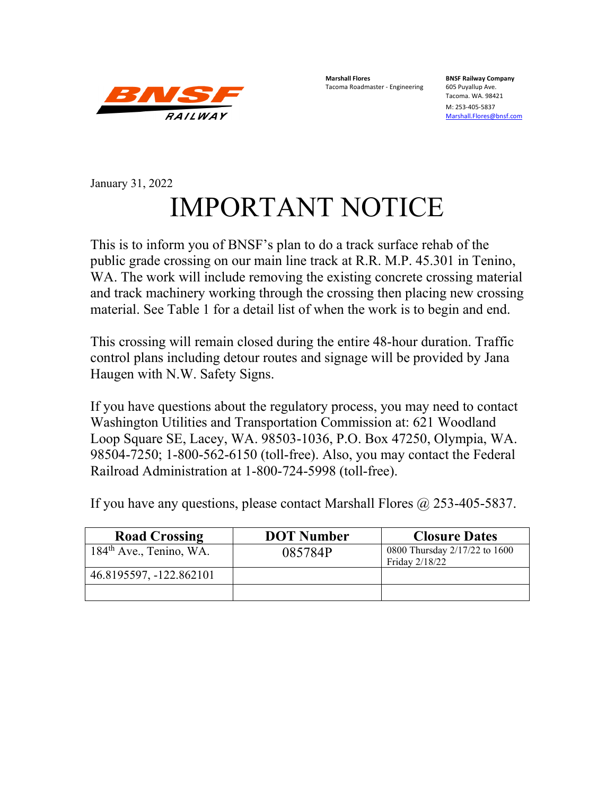

**Marshall Flores BNSF Railway Company** Tacoma Roadmaster - Engineering

Tacoma. WA. 98421

M: 253-405-5837 [Marshall.Flores@bnsf.com](mailto:Marshall.Flores@bnsf.com)

## January 31, 2022 IMPORTANT NOTICE

This is to inform you of BNSF's plan to do a track surface rehab of the public grade crossing on our main line track at R.R. M.P. 45.301 in Tenino, WA. The work will include removing the existing concrete crossing material and track machinery working through the crossing then placing new crossing material. See Table 1 for a detail list of when the work is to begin and end.

This crossing will remain closed during the entire 48-hour duration. Traffic control plans including detour routes and signage will be provided by Jana Haugen with N.W. Safety Signs.

If you have questions about the regulatory process, you may need to contact Washington Utilities and Transportation Commission at: 621 Woodland Loop Square SE, Lacey, WA. 98503-1036, P.O. Box 47250, Olympia, WA. 98504-7250; 1-800-562-6150 (toll-free). Also, you may contact the Federal Railroad Administration at 1-800-724-5998 (toll-free).

If you have any questions, please contact Marshall Flores  $\omega$  253-405-5837.

| <b>Road Crossing</b>      | <b>DOT Number</b> | <b>Closure Dates</b>                            |
|---------------------------|-------------------|-------------------------------------------------|
| $184th$ Ave., Tenino, WA. | 085784P           | 0800 Thursday 2/17/22 to 1600<br>Friday 2/18/22 |
| 46.8195597, -122.862101   |                   |                                                 |
|                           |                   |                                                 |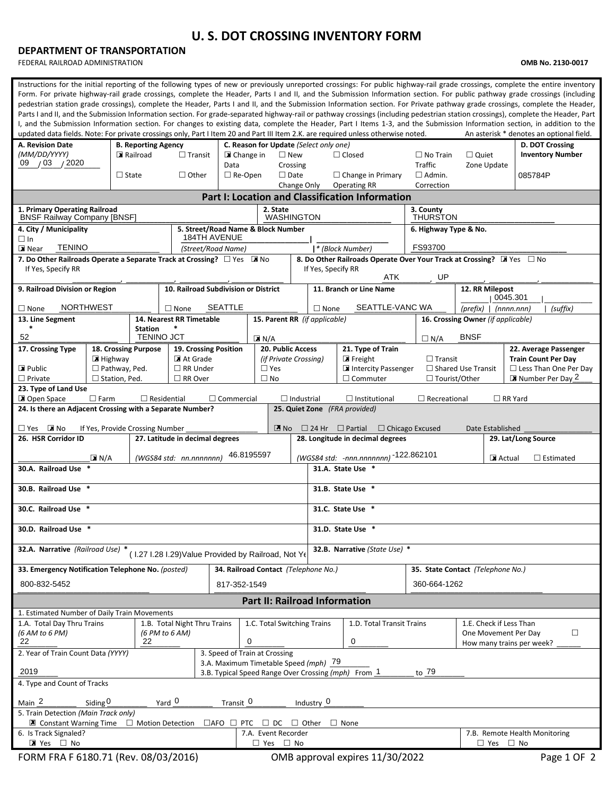## **U. S. DOT CROSSING INVENTORY FORM**

## **DEPARTMENT OF TRANSPORTATION**

FEDERAL RAILROAD ADMINISTRATION **OMB No. 2130-0017**

| Instructions for the initial reporting of the following types of new or previously unreported crossings: For public highway-rail grade crossings, complete the entire inventory<br>Form. For private highway-rail grade crossings, complete the Header, Parts I and II, and the Submission Information section. For public pathway grade crossings (including<br>pedestrian station grade crossings), complete the Header, Parts I and II, and the Submission Information section. For Private pathway grade crossings, complete the Header,<br>Parts I and II, and the Submission Information section. For grade-separated highway-rail or pathway crossings (including pedestrian station crossings), complete the Header, Part<br>I, and the Submission Information section. For changes to existing data, complete the Header, Part I Items 1-3, and the Submission Information section, in addition to the<br>updated data fields. Note: For private crossings only, Part I Item 20 and Part III Item 2.K. are required unless otherwise noted.<br>An asterisk * denotes an optional field. |                                                                                        |                                        |                                                     |                                                           |                         |                               |                                                                                        |                                                    |                                    |                                                                               |                                            |  |  |  |  |
|--------------------------------------------------------------------------------------------------------------------------------------------------------------------------------------------------------------------------------------------------------------------------------------------------------------------------------------------------------------------------------------------------------------------------------------------------------------------------------------------------------------------------------------------------------------------------------------------------------------------------------------------------------------------------------------------------------------------------------------------------------------------------------------------------------------------------------------------------------------------------------------------------------------------------------------------------------------------------------------------------------------------------------------------------------------------------------------------------|----------------------------------------------------------------------------------------|----------------------------------------|-----------------------------------------------------|-----------------------------------------------------------|-------------------------|-------------------------------|----------------------------------------------------------------------------------------|----------------------------------------------------|------------------------------------|-------------------------------------------------------------------------------|--------------------------------------------|--|--|--|--|
| A. Revision Date<br>(MM/DD/YYYY)                                                                                                                                                                                                                                                                                                                                                                                                                                                                                                                                                                                                                                                                                                                                                                                                                                                                                                                                                                                                                                                                 |                                                                                        | <b>B. Reporting Agency</b><br>Railroad |                                                     | C. Reason for Update (Select only one)<br>$\square$ New   |                         |                               |                                                                                        |                                                    | $\Box$ No Train                    |                                                                               | D. DOT Crossing<br><b>Inventory Number</b> |  |  |  |  |
| 09 / 03 / 2020                                                                                                                                                                                                                                                                                                                                                                                                                                                                                                                                                                                                                                                                                                                                                                                                                                                                                                                                                                                                                                                                                   |                                                                                        |                                        |                                                     | $\Box$ Transit<br>■ Change in<br>Data                     |                         |                               | Crossing                                                                               | $\Box$ Closed                                      | <b>Traffic</b>                     | $\Box$ Quiet<br>Zone Update                                                   |                                            |  |  |  |  |
|                                                                                                                                                                                                                                                                                                                                                                                                                                                                                                                                                                                                                                                                                                                                                                                                                                                                                                                                                                                                                                                                                                  | $\Box$ State                                                                           |                                        |                                                     |                                                           | $\Box$ Re-Open          | $\Box$ Date                   |                                                                                        | $\Box$ Change in Primary                           | $\Box$ Admin.                      |                                                                               | 085784P                                    |  |  |  |  |
| <b>Operating RR</b><br>Change Only<br>Correction<br><b>Part I: Location and Classification Information</b>                                                                                                                                                                                                                                                                                                                                                                                                                                                                                                                                                                                                                                                                                                                                                                                                                                                                                                                                                                                       |                                                                                        |                                        |                                                     |                                                           |                         |                               |                                                                                        |                                                    |                                    |                                                                               |                                            |  |  |  |  |
| 1. Primary Operating Railroad<br>2. State<br>3. County                                                                                                                                                                                                                                                                                                                                                                                                                                                                                                                                                                                                                                                                                                                                                                                                                                                                                                                                                                                                                                           |                                                                                        |                                        |                                                     |                                                           |                         |                               |                                                                                        |                                                    |                                    |                                                                               |                                            |  |  |  |  |
| <b>BNSF Railway Company [BNSF]</b>                                                                                                                                                                                                                                                                                                                                                                                                                                                                                                                                                                                                                                                                                                                                                                                                                                                                                                                                                                                                                                                               |                                                                                        |                                        |                                                     |                                                           |                         | <b>WASHINGTON</b>             |                                                                                        |                                                    |                                    | <b>THURSTON</b>                                                               |                                            |  |  |  |  |
| 4. City / Municipality<br>$\Box$ In                                                                                                                                                                                                                                                                                                                                                                                                                                                                                                                                                                                                                                                                                                                                                                                                                                                                                                                                                                                                                                                              |                                                                                        |                                        |                                                     | 5. Street/Road Name & Block Number<br><b>184TH AVENUE</b> |                         |                               |                                                                                        |                                                    | 6. Highway Type & No.              |                                                                               |                                            |  |  |  |  |
| <b>TENINO</b><br><b>X</b> Near                                                                                                                                                                                                                                                                                                                                                                                                                                                                                                                                                                                                                                                                                                                                                                                                                                                                                                                                                                                                                                                                   |                                                                                        |                                        |                                                     | (Street/Road Name)                                        |                         |                               |                                                                                        | * (Block Number)                                   | FS93700                            |                                                                               |                                            |  |  |  |  |
| 7. Do Other Railroads Operate a Separate Track at Crossing? $\Box$ Yes MINO<br>8. Do Other Railroads Operate Over Your Track at Crossing? I Yes $\Box$ No<br>If Yes, Specify RR<br>If Yes, Specify RR<br>ATK<br>UP                                                                                                                                                                                                                                                                                                                                                                                                                                                                                                                                                                                                                                                                                                                                                                                                                                                                               |                                                                                        |                                        |                                                     |                                                           |                         |                               |                                                                                        |                                                    |                                    |                                                                               |                                            |  |  |  |  |
| 9. Railroad Division or Region                                                                                                                                                                                                                                                                                                                                                                                                                                                                                                                                                                                                                                                                                                                                                                                                                                                                                                                                                                                                                                                                   |                                                                                        |                                        | 10. Railroad Subdivision or District                |                                                           |                         |                               |                                                                                        | 11. Branch or Line Name                            |                                    | 12. RR Milepost                                                               |                                            |  |  |  |  |
| <b>NORTHWEST</b><br>$\Box$ None                                                                                                                                                                                                                                                                                                                                                                                                                                                                                                                                                                                                                                                                                                                                                                                                                                                                                                                                                                                                                                                                  |                                                                                        |                                        | $\Box$ None                                         | <b>SEATTLE</b>                                            |                         |                               | $\Box$ None                                                                            | SEATTLE-VANC WA                                    |                                    | 0045.301<br>$(prefix)$   $(nnnnnnn)$<br>(suffix)                              |                                            |  |  |  |  |
| 13. Line Segment                                                                                                                                                                                                                                                                                                                                                                                                                                                                                                                                                                                                                                                                                                                                                                                                                                                                                                                                                                                                                                                                                 |                                                                                        |                                        | 14. Nearest RR Timetable                            |                                                           |                         | 15. Parent RR (if applicable) |                                                                                        |                                                    | 16. Crossing Owner (if applicable) |                                                                               |                                            |  |  |  |  |
| $\ast$<br><b>Station</b><br>52<br><b>TENINO JCT</b><br><b>BNSF</b><br>$\blacksquare$ N/A<br>$\Box N/A$                                                                                                                                                                                                                                                                                                                                                                                                                                                                                                                                                                                                                                                                                                                                                                                                                                                                                                                                                                                           |                                                                                        |                                        |                                                     |                                                           |                         |                               |                                                                                        |                                                    |                                    |                                                                               |                                            |  |  |  |  |
| 17. Crossing Type                                                                                                                                                                                                                                                                                                                                                                                                                                                                                                                                                                                                                                                                                                                                                                                                                                                                                                                                                                                                                                                                                | 18. Crossing Purpose                                                                   |                                        | 19. Crossing Position                               |                                                           |                         | 20. Public Access             |                                                                                        | 21. Type of Train                                  |                                    |                                                                               | 22. Average Passenger                      |  |  |  |  |
|                                                                                                                                                                                                                                                                                                                                                                                                                                                                                                                                                                                                                                                                                                                                                                                                                                                                                                                                                                                                                                                                                                  | $\blacksquare$ Highway                                                                 |                                        | At Grade                                            |                                                           |                         | (if Private Crossing)         |                                                                                        | $\blacksquare$ Freight                             | $\Box$ Transit                     |                                                                               | <b>Train Count Per Day</b>                 |  |  |  |  |
| $\triangleright$ Public<br>$\Box$ Private                                                                                                                                                                                                                                                                                                                                                                                                                                                                                                                                                                                                                                                                                                                                                                                                                                                                                                                                                                                                                                                        | $\Box$ Pathway, Ped.<br>$\square$ Station, Ped.                                        |                                        | $\Box$ RR Under<br>$\Box$ RR Over                   |                                                           | $\Box$ Yes<br>$\Box$ No |                               |                                                                                        | Intercity Passenger<br>$\Box$ Commuter             | □ Tourist/Other                    | $\Box$ Shared Use Transit<br>$\Box$ Less Than One Per Day<br>Number Per Day 2 |                                            |  |  |  |  |
| 23. Type of Land Use                                                                                                                                                                                                                                                                                                                                                                                                                                                                                                                                                                                                                                                                                                                                                                                                                                                                                                                                                                                                                                                                             |                                                                                        |                                        |                                                     |                                                           |                         |                               |                                                                                        |                                                    |                                    |                                                                               |                                            |  |  |  |  |
| Open Space                                                                                                                                                                                                                                                                                                                                                                                                                                                                                                                                                                                                                                                                                                                                                                                                                                                                                                                                                                                                                                                                                       | $\Box$ Farm                                                                            |                                        | $\Box$ Residential                                  | $\Box$ Commercial                                         |                         | $\Box$ Industrial             |                                                                                        | $\Box$ Institutional                               | $\Box$ Recreational                |                                                                               | $\Box$ RR Yard                             |  |  |  |  |
| 24. Is there an Adjacent Crossing with a Separate Number?                                                                                                                                                                                                                                                                                                                                                                                                                                                                                                                                                                                                                                                                                                                                                                                                                                                                                                                                                                                                                                        |                                                                                        |                                        |                                                     |                                                           |                         |                               |                                                                                        | 25. Quiet Zone (FRA provided)                      |                                    |                                                                               |                                            |  |  |  |  |
| $\Box$ Yes $\Box$ No                                                                                                                                                                                                                                                                                                                                                                                                                                                                                                                                                                                                                                                                                                                                                                                                                                                                                                                                                                                                                                                                             | If Yes, Provide Crossing Number                                                        |                                        |                                                     |                                                           |                         | $\mathbb{Z}$ No               |                                                                                        | $\Box$ 24 Hr $\Box$ Partial $\Box$ Chicago Excused |                                    | Date Established                                                              |                                            |  |  |  |  |
| 26. HSR Corridor ID                                                                                                                                                                                                                                                                                                                                                                                                                                                                                                                                                                                                                                                                                                                                                                                                                                                                                                                                                                                                                                                                              |                                                                                        |                                        | 27. Latitude in decimal degrees                     |                                                           |                         |                               |                                                                                        | 28. Longitude in decimal degrees                   |                                    |                                                                               | 29. Lat/Long Source                        |  |  |  |  |
|                                                                                                                                                                                                                                                                                                                                                                                                                                                                                                                                                                                                                                                                                                                                                                                                                                                                                                                                                                                                                                                                                                  | $\boxed{\mathbf{X}}$ N/A                                                               |                                        | (WGS84 std: nn.nnnnnnn)                             |                                                           | 46.8195597              |                               |                                                                                        | (WGS84 std: -nnn.nnnnnnn) -122.862101              |                                    | Actual                                                                        | $\Box$ Estimated                           |  |  |  |  |
| 30.A. Railroad Use                                                                                                                                                                                                                                                                                                                                                                                                                                                                                                                                                                                                                                                                                                                                                                                                                                                                                                                                                                                                                                                                               |                                                                                        |                                        |                                                     |                                                           |                         |                               |                                                                                        | 31.A. State Use *                                  |                                    |                                                                               |                                            |  |  |  |  |
| 30.B. Railroad Use *                                                                                                                                                                                                                                                                                                                                                                                                                                                                                                                                                                                                                                                                                                                                                                                                                                                                                                                                                                                                                                                                             |                                                                                        |                                        |                                                     |                                                           |                         |                               |                                                                                        | 31.B. State Use *                                  |                                    |                                                                               |                                            |  |  |  |  |
| 30.C. Railroad Use *                                                                                                                                                                                                                                                                                                                                                                                                                                                                                                                                                                                                                                                                                                                                                                                                                                                                                                                                                                                                                                                                             |                                                                                        |                                        |                                                     |                                                           |                         |                               |                                                                                        | 31.C. State Use *                                  |                                    |                                                                               |                                            |  |  |  |  |
| 30.D. Railroad Use                                                                                                                                                                                                                                                                                                                                                                                                                                                                                                                                                                                                                                                                                                                                                                                                                                                                                                                                                                                                                                                                               |                                                                                        |                                        |                                                     |                                                           |                         |                               |                                                                                        | 31.D. State Use                                    |                                    |                                                                               |                                            |  |  |  |  |
| 32.A. Narrative (Railroad Use) *                                                                                                                                                                                                                                                                                                                                                                                                                                                                                                                                                                                                                                                                                                                                                                                                                                                                                                                                                                                                                                                                 |                                                                                        |                                        | (1.27 I.28 I.29) Value Provided by Railroad, Not Ye |                                                           |                         |                               |                                                                                        | 32.B. Narrative (State Use) *                      |                                    |                                                                               |                                            |  |  |  |  |
| 33. Emergency Notification Telephone No. (posted)                                                                                                                                                                                                                                                                                                                                                                                                                                                                                                                                                                                                                                                                                                                                                                                                                                                                                                                                                                                                                                                |                                                                                        |                                        |                                                     | 34. Railroad Contact (Telephone No.)                      |                         |                               |                                                                                        |                                                    | 35. State Contact (Telephone No.)  |                                                                               |                                            |  |  |  |  |
| 800-832-5452<br>817-352-1549                                                                                                                                                                                                                                                                                                                                                                                                                                                                                                                                                                                                                                                                                                                                                                                                                                                                                                                                                                                                                                                                     |                                                                                        |                                        |                                                     |                                                           |                         |                               |                                                                                        |                                                    | 360-664-1262                       |                                                                               |                                            |  |  |  |  |
|                                                                                                                                                                                                                                                                                                                                                                                                                                                                                                                                                                                                                                                                                                                                                                                                                                                                                                                                                                                                                                                                                                  |                                                                                        |                                        |                                                     |                                                           |                         |                               |                                                                                        | <b>Part II: Railroad Information</b>               |                                    |                                                                               |                                            |  |  |  |  |
| 1. Estimated Number of Daily Train Movements                                                                                                                                                                                                                                                                                                                                                                                                                                                                                                                                                                                                                                                                                                                                                                                                                                                                                                                                                                                                                                                     |                                                                                        |                                        |                                                     |                                                           |                         |                               |                                                                                        |                                                    |                                    |                                                                               |                                            |  |  |  |  |
| 1.A. Total Day Thru Trains                                                                                                                                                                                                                                                                                                                                                                                                                                                                                                                                                                                                                                                                                                                                                                                                                                                                                                                                                                                                                                                                       |                                                                                        |                                        | 1.B. Total Night Thru Trains                        |                                                           |                         | 1.C. Total Switching Trains   | 1.D. Total Transit Trains<br>1.E. Check if Less Than<br>$\Box$<br>One Movement Per Day |                                                    |                                    |                                                                               |                                            |  |  |  |  |
| (6 AM to 6 PM)<br>(6 PM to 6 AM)<br>0<br>22<br>22                                                                                                                                                                                                                                                                                                                                                                                                                                                                                                                                                                                                                                                                                                                                                                                                                                                                                                                                                                                                                                                |                                                                                        |                                        |                                                     |                                                           |                         |                               | 0<br>How many trains per week?                                                         |                                                    |                                    |                                                                               |                                            |  |  |  |  |
| 2. Year of Train Count Data (YYYY)                                                                                                                                                                                                                                                                                                                                                                                                                                                                                                                                                                                                                                                                                                                                                                                                                                                                                                                                                                                                                                                               |                                                                                        |                                        |                                                     | 3. Speed of Train at Crossing                             |                         |                               |                                                                                        |                                                    |                                    |                                                                               |                                            |  |  |  |  |
| 3.A. Maximum Timetable Speed (mph) 79<br>2019<br>to 79<br>3.B. Typical Speed Range Over Crossing (mph) From 1                                                                                                                                                                                                                                                                                                                                                                                                                                                                                                                                                                                                                                                                                                                                                                                                                                                                                                                                                                                    |                                                                                        |                                        |                                                     |                                                           |                         |                               |                                                                                        |                                                    |                                    |                                                                               |                                            |  |  |  |  |
| 4. Type and Count of Tracks                                                                                                                                                                                                                                                                                                                                                                                                                                                                                                                                                                                                                                                                                                                                                                                                                                                                                                                                                                                                                                                                      |                                                                                        |                                        |                                                     |                                                           |                         |                               |                                                                                        |                                                    |                                    |                                                                               |                                            |  |  |  |  |
| Yard 0<br>Main <sub>2</sub><br>Transit 0<br>Industry $0$<br>Siding $0$                                                                                                                                                                                                                                                                                                                                                                                                                                                                                                                                                                                                                                                                                                                                                                                                                                                                                                                                                                                                                           |                                                                                        |                                        |                                                     |                                                           |                         |                               |                                                                                        |                                                    |                                    |                                                                               |                                            |  |  |  |  |
| 5. Train Detection (Main Track only)<br>$\blacksquare$ Constant Warning Time $\Box$ Motion Detection<br>$\Box$ AFO $\Box$ PTC<br>$\Box$ Other<br>$\Box$ None<br>$\sqcup$ DC                                                                                                                                                                                                                                                                                                                                                                                                                                                                                                                                                                                                                                                                                                                                                                                                                                                                                                                      |                                                                                        |                                        |                                                     |                                                           |                         |                               |                                                                                        |                                                    |                                    |                                                                               |                                            |  |  |  |  |
| 6. Is Track Signaled?                                                                                                                                                                                                                                                                                                                                                                                                                                                                                                                                                                                                                                                                                                                                                                                                                                                                                                                                                                                                                                                                            |                                                                                        |                                        |                                                     |                                                           |                         | 7.A. Event Recorder           |                                                                                        |                                                    |                                    |                                                                               | 7.B. Remote Health Monitoring              |  |  |  |  |
| ■ Yes □ No                                                                                                                                                                                                                                                                                                                                                                                                                                                                                                                                                                                                                                                                                                                                                                                                                                                                                                                                                                                                                                                                                       |                                                                                        |                                        |                                                     |                                                           |                         | $\Box$ Yes $\Box$ No          |                                                                                        |                                                    |                                    | $\Box$ Yes $\Box$ No                                                          |                                            |  |  |  |  |
|                                                                                                                                                                                                                                                                                                                                                                                                                                                                                                                                                                                                                                                                                                                                                                                                                                                                                                                                                                                                                                                                                                  | FORM FRA F 6180.71 (Rev. 08/03/2016)<br>OMB approval expires 11/30/2022<br>Page 1 OF 2 |                                        |                                                     |                                                           |                         |                               |                                                                                        |                                                    |                                    |                                                                               |                                            |  |  |  |  |